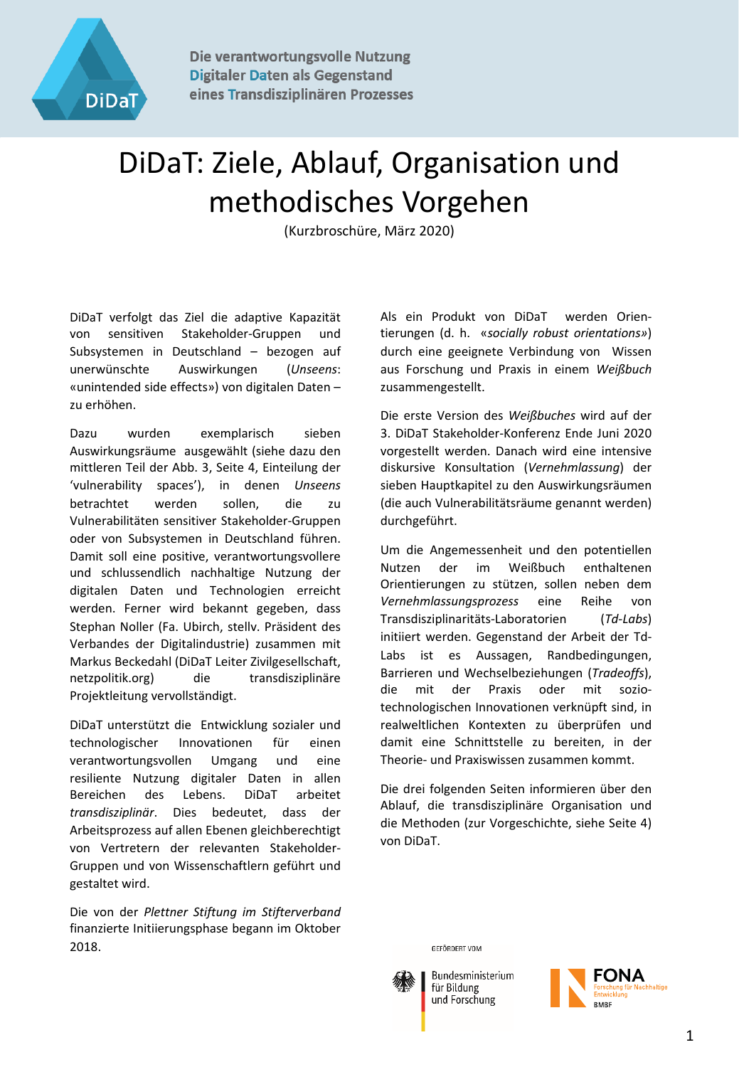

Die verantwortungsvolle Nutzung **Digitaler Daten als Gegenstand** eines Transdisziplinären Prozesses

## DiDaT: Ziele, Ablauf, Organisation und methodisches Vorgehen

(Kurzbroschüre, März 2020)

DiDaT verfolgt das Ziel die adaptive Kapazität von sensitiven Stakeholder-Gruppen und Subsystemen in Deutschland – bezogen auf unerwünschte Auswirkungen (*Unseens*: «unintended side effects») von digitalen Daten – zu erhöhen.

Dazu wurden exemplarisch sieben Auswirkungsräume ausgewählt (siehe dazu den mittleren Teil der Abb. 3, Seite 4, Einteilung der 'vulnerability spaces'), in denen *Unseens* betrachtet werden sollen, die zu Vulnerabilitäten sensitiver Stakeholder-Gruppen oder von Subsystemen in Deutschland führen. Damit soll eine positive, verantwortungsvollere und schlussendlich nachhaltige Nutzung der digitalen Daten und Technologien erreicht werden. Ferner wird bekannt gegeben, dass Stephan Noller (Fa. Ubirch, stellv. Präsident des Verbandes der Digitalindustrie) zusammen mit Markus Beckedahl (DiDaT Leiter Zivilgesellschaft, netzpolitik.org) die transdisziplinäre Projektleitung vervollständigt.

DiDaT unterstützt die Entwicklung sozialer und technologischer Innovationen für einen verantwortungsvollen Umgang und eine resiliente Nutzung digitaler Daten in allen Bereichen des Lebens. DiDaT arbeitet *transdisziplinär*. Dies bedeutet, dass der Arbeitsprozess auf allen Ebenen gleichberechtigt von Vertretern der relevanten Stakeholder-Gruppen und von Wissenschaftlern geführt und gestaltet wird.

Die von der *Plettner Stiftung im Stifterverband* finanzierte Initiierungsphase begann im Oktober 2018.

Als ein Produkt von DiDaT werden Orientierungen (d. h. «*socially robust orientations»*) durch eine geeignete Verbindung von Wissen aus Forschung und Praxis in einem *Weißbuch* zusammengestellt.

Die erste Version des *Weißbuches* wird auf der 3. DiDaT Stakeholder-Konferenz Ende Juni 2020 vorgestellt werden. Danach wird eine intensive diskursive Konsultation (*Vernehmlassung*) der sieben Hauptkapitel zu den Auswirkungsräumen (die auch Vulnerabilitätsräume genannt werden) durchgeführt.

Um die Angemessenheit und den potentiellen Nutzen der im Weißbuch enthaltenen Orientierungen zu stützen, sollen neben dem *Vernehmlassungsprozess* eine Reihe von Transdisziplinaritäts-Laboratorien (*Td-Labs*) initiiert werden. Gegenstand der Arbeit der Td-Labs ist es Aussagen, Randbedingungen, Barrieren und Wechselbeziehungen (*Tradeoffs*), die mit der Praxis oder mit soziotechnologischen Innovationen verknüpft sind, in realweltlichen Kontexten zu überprüfen und damit eine Schnittstelle zu bereiten, in der Theorie- und Praxiswissen zusammen kommt.

Die drei folgenden Seiten informieren über den Ablauf, die transdisziplinäre Organisation und die Methoden (zur Vorgeschichte, siehe Seite 4) von DiDaT.

GEFÖRDERT VOM



Bundesministerium für Bildung und Forschung

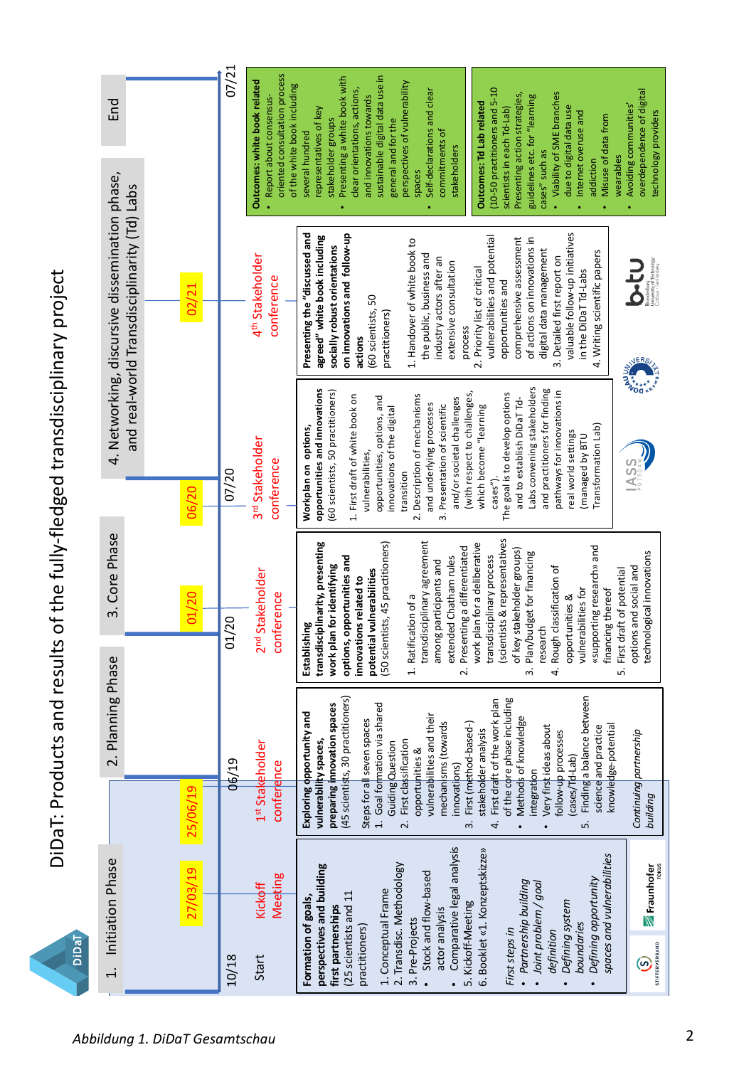DiDaT: Products and results of the fully-fledged transdisciplinary project DiDaT: Products and results of the fully-fledged transdisciplinary project

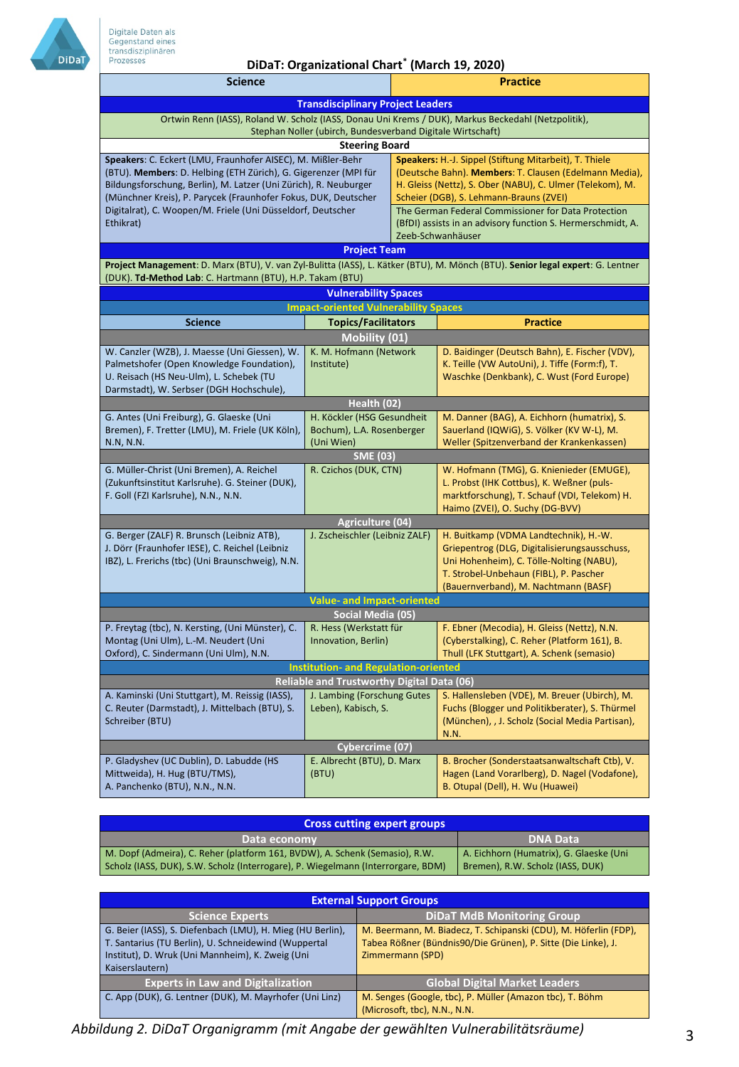

## **DiDaT: Organizational Chart\* (March 19, 2020)**

| <b>Science</b>                                                                                                                     |                                                    |                                                                                                      | <b>Practice</b>                                                                                 |  |
|------------------------------------------------------------------------------------------------------------------------------------|----------------------------------------------------|------------------------------------------------------------------------------------------------------|-------------------------------------------------------------------------------------------------|--|
| <b>Transdisciplinary Project Leaders</b>                                                                                           |                                                    |                                                                                                      |                                                                                                 |  |
| Ortwin Renn (IASS), Roland W. Scholz (IASS, Donau Uni Krems / DUK), Markus Beckedahl (Netzpolitik),                                |                                                    |                                                                                                      |                                                                                                 |  |
| Stephan Noller (ubirch, Bundesverband Digitale Wirtschaft)                                                                         |                                                    |                                                                                                      |                                                                                                 |  |
| <b>Steering Board</b>                                                                                                              |                                                    |                                                                                                      |                                                                                                 |  |
| Speakers: C. Eckert (LMU, Fraunhofer AISEC), M. Mißler-Behr                                                                        |                                                    | Speakers: H.-J. Sippel (Stiftung Mitarbeit), T. Thiele                                               |                                                                                                 |  |
| (BTU). Members: D. Helbing (ETH Zürich), G. Gigerenzer (MPI für                                                                    |                                                    | (Deutsche Bahn). Members: T. Clausen (Edelmann Media),                                               |                                                                                                 |  |
| Bildungsforschung, Berlin), M. Latzer (Uni Zürich), R. Neuburger<br>(Münchner Kreis), P. Parycek (Fraunhofer Fokus, DUK, Deutscher |                                                    | H. Gleiss (Nettz), S. Ober (NABU), C. Ulmer (Telekom), M.<br>Scheier (DGB), S. Lehmann-Brauns (ZVEI) |                                                                                                 |  |
| Digitalrat), C. Woopen/M. Friele (Uni Düsseldorf, Deutscher                                                                        |                                                    | The German Federal Commissioner for Data Protection                                                  |                                                                                                 |  |
| Ethikrat)                                                                                                                          |                                                    | (BfDI) assists in an advisory function S. Hermerschmidt, A.                                          |                                                                                                 |  |
|                                                                                                                                    |                                                    | Zeeb-Schwanhäuser                                                                                    |                                                                                                 |  |
| <b>Project Team</b>                                                                                                                |                                                    |                                                                                                      |                                                                                                 |  |
| Project Management: D. Marx (BTU), V. van Zyl-Bulitta (IASS), L. Kätker (BTU), M. Mönch (BTU). Senior legal expert: G. Lentner     |                                                    |                                                                                                      |                                                                                                 |  |
| (DUK). Td-Method Lab: C. Hartmann (BTU), H.P. Takam (BTU)                                                                          |                                                    |                                                                                                      |                                                                                                 |  |
|                                                                                                                                    | <b>Vulnerability Spaces</b>                        |                                                                                                      |                                                                                                 |  |
|                                                                                                                                    | <b>Impact-oriented Vulnerability Spaces</b>        |                                                                                                      |                                                                                                 |  |
| <b>Science</b>                                                                                                                     | <b>Topics/Facilitators</b>                         |                                                                                                      | <b>Practice</b>                                                                                 |  |
|                                                                                                                                    | Mobility (01)                                      |                                                                                                      |                                                                                                 |  |
| W. Canzler (WZB), J. Maesse (Uni Giessen), W.                                                                                      | K. M. Hofmann (Network                             |                                                                                                      | D. Baidinger (Deutsch Bahn), E. Fischer (VDV),                                                  |  |
| Palmetshofer (Open Knowledge Foundation),<br>U. Reisach (HS Neu-Ulm), L. Schebek (TU                                               | Institute)                                         |                                                                                                      | K. Teille (VW AutoUni), J. Tiffe (Form:f), T.                                                   |  |
| Darmstadt), W. Serbser (DGH Hochschule),                                                                                           |                                                    |                                                                                                      | Waschke (Denkbank), C. Wust (Ford Europe)                                                       |  |
|                                                                                                                                    | Health (02)                                        |                                                                                                      |                                                                                                 |  |
| G. Antes (Uni Freiburg), G. Glaeske (Uni                                                                                           | H. Köckler (HSG Gesundheit                         |                                                                                                      | M. Danner (BAG), A. Eichhorn (humatrix), S.                                                     |  |
| Bremen), F. Tretter (LMU), M. Friele (UK Köln),                                                                                    | Bochum), L.A. Rosenberger                          |                                                                                                      | Sauerland (IQWiG), S. Völker (KV W-L), M.                                                       |  |
| N.N, N.N.                                                                                                                          | (Uni Wien)                                         |                                                                                                      | Weller (Spitzenverband der Krankenkassen)                                                       |  |
|                                                                                                                                    | SME (03)                                           |                                                                                                      |                                                                                                 |  |
| G. Müller-Christ (Uni Bremen), A. Reichel<br>(Zukunftsinstitut Karlsruhe). G. Steiner (DUK),                                       | R. Czichos (DUK, CTN)                              |                                                                                                      | W. Hofmann (TMG), G. Knienieder (EMUGE),<br>L. Probst (IHK Cottbus), K. Weßner (puls-           |  |
| F. Goll (FZI Karlsruhe), N.N., N.N.                                                                                                |                                                    |                                                                                                      | marktforschung), T. Schauf (VDI, Telekom) H.                                                    |  |
|                                                                                                                                    |                                                    |                                                                                                      | Haimo (ZVEI), O. Suchy (DG-BVV)                                                                 |  |
| <b>Agriculture (04)</b>                                                                                                            |                                                    |                                                                                                      |                                                                                                 |  |
| G. Berger (ZALF) R. Brunsch (Leibniz ATB),                                                                                         | J. Zscheischler (Leibniz ZALF)                     |                                                                                                      | H. Buitkamp (VDMA Landtechnik), H.-W.                                                           |  |
| J. Dörr (Fraunhofer IESE), C. Reichel (Leibniz                                                                                     |                                                    |                                                                                                      | Griepentrog (DLG, Digitalisierungsausschuss,                                                    |  |
| IBZ), L. Frerichs (tbc) (Uni Braunschweig), N.N.                                                                                   |                                                    |                                                                                                      | Uni Hohenheim), C. Tölle-Nolting (NABU),<br>T. Strobel-Unbehaun (FIBL), P. Pascher              |  |
|                                                                                                                                    |                                                    |                                                                                                      | (Bauernverband), M. Nachtmann (BASF)                                                            |  |
| <b>Value- and Impact-oriented</b>                                                                                                  |                                                    |                                                                                                      |                                                                                                 |  |
| Social Media (05)                                                                                                                  |                                                    |                                                                                                      |                                                                                                 |  |
| P. Freytag (tbc), N. Kersting, (Uni Münster), C.                                                                                   | R. Hess (Werkstatt für                             |                                                                                                      | F. Ebner (Mecodia), H. Gleiss (Nettz), N.N.                                                     |  |
| Montag (Uni Ulm), L.-M. Neudert (Uni                                                                                               | Innovation, Berlin)                                |                                                                                                      | (Cyberstalking), C. Reher (Platform 161), B.                                                    |  |
| Oxford), C. Sindermann (Uni Ulm), N.N.                                                                                             |                                                    |                                                                                                      | Thull (LFK Stuttgart), A. Schenk (semasio)                                                      |  |
| <b>Institution- and Regulation-oriented</b>                                                                                        |                                                    |                                                                                                      |                                                                                                 |  |
| Reliable and Trustworthy Digital Data (06)<br>A. Kaminski (Uni Stuttgart), M. Reissig (IASS),                                      |                                                    |                                                                                                      |                                                                                                 |  |
| C. Reuter (Darmstadt), J. Mittelbach (BTU), S.                                                                                     | J. Lambing (Forschung Gutes<br>Leben), Kabisch, S. |                                                                                                      | S. Hallensleben (VDE), M. Breuer (Ubirch), M.<br>Fuchs (Blogger und Politikberater), S. Thürmel |  |
| Schreiber (BTU)                                                                                                                    |                                                    |                                                                                                      | (München), , J. Scholz (Social Media Partisan),                                                 |  |
|                                                                                                                                    |                                                    |                                                                                                      | N.N.                                                                                            |  |
| Cybercrime (07)                                                                                                                    |                                                    |                                                                                                      |                                                                                                 |  |
| P. Gladyshev (UC Dublin), D. Labudde (HS                                                                                           | E. Albrecht (BTU), D. Marx                         |                                                                                                      | B. Brocher (Sonderstaatsanwaltschaft Ctb), V.                                                   |  |
| Mittweida), H. Hug (BTU/TMS),<br>A. Panchenko (BTU), N.N., N.N.                                                                    | (BTU)                                              |                                                                                                      | Hagen (Land Vorarlberg), D. Nagel (Vodafone),<br>B. Otupal (Dell), H. Wu (Huawei)               |  |
|                                                                                                                                    |                                                    |                                                                                                      |                                                                                                 |  |

| <b>Cross cutting expert groups</b>                                                                                                                              |                                                                             |  |  |  |
|-----------------------------------------------------------------------------------------------------------------------------------------------------------------|-----------------------------------------------------------------------------|--|--|--|
| Data economy                                                                                                                                                    | <b>DNA Data</b>                                                             |  |  |  |
| M. Dopf (Admeira), C. Reher (platform 161, BVDW), A. Schenk (Semasio), R.W.<br>Scholz (IASS, DUK), S.W. Scholz (Interrogare), P. Wiegelmann (Interrorgare, BDM) | A. Eichhorn (Humatrix), G. Glaeske (Uni<br>Bremen), R.W. Scholz (IASS, DUK) |  |  |  |

| <b>External Support Groups</b>                                                                                                                                                            |                                                                                                                                                       |  |  |
|-------------------------------------------------------------------------------------------------------------------------------------------------------------------------------------------|-------------------------------------------------------------------------------------------------------------------------------------------------------|--|--|
| <b>Science Experts</b>                                                                                                                                                                    | <b>DiDaT MdB Monitoring Group</b>                                                                                                                     |  |  |
| G. Beier (IASS), S. Diefenbach (LMU), H. Mieg (HU Berlin),<br>T. Santarius (TU Berlin), U. Schneidewind (Wuppertal<br>Institut), D. Wruk (Uni Mannheim), K. Zweig (Uni<br>Kaiserslautern) | M. Beermann, M. Biadecz, T. Schipanski (CDU), M. Höferlin (FDP),<br>Tabea Rößner (Bündnis90/Die Grünen), P. Sitte (Die Linke), J.<br>Zimmermann (SPD) |  |  |
| <b>Experts in Law and Digitalization</b>                                                                                                                                                  | <b>Global Digital Market Leaders</b>                                                                                                                  |  |  |
| C. App (DUK), G. Lentner (DUK), M. Mayrhofer (Uni Linz)                                                                                                                                   | M. Senges (Google, tbc), P. Müller (Amazon tbc), T. Böhm<br>(Microsoft, tbc), N.N., N.N.                                                              |  |  |

*Abbildung 2. DiDaT Organigramm (mit Angabe der gewählten Vulnerabilitätsräume)* 3